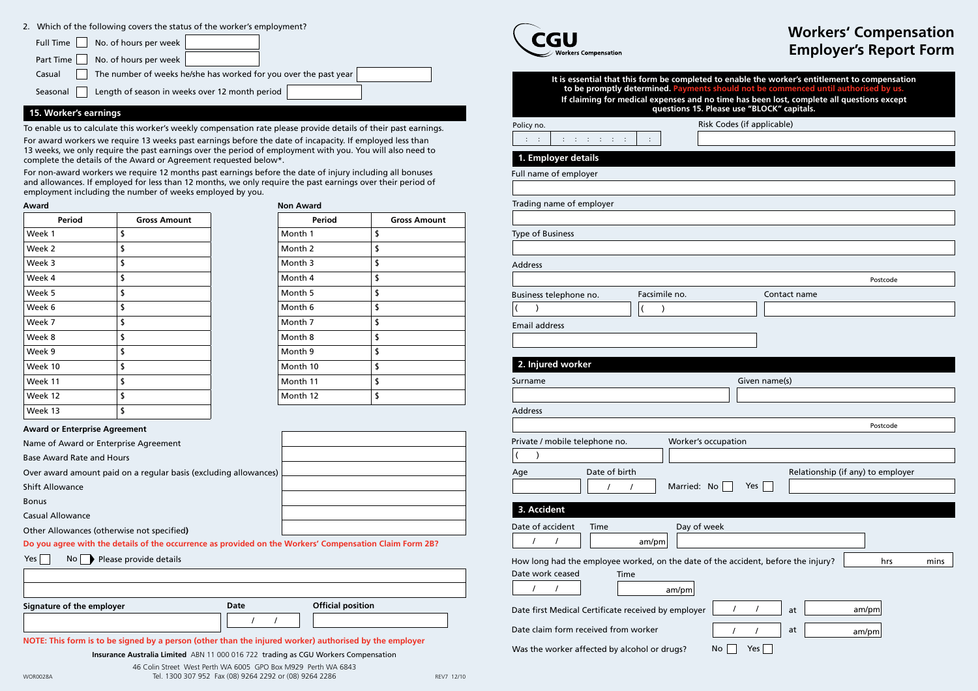# **Workers' Compensation Employer's Report Form**

| Signature of the employer | Date | <b>Official position</b> |  |
|---------------------------|------|--------------------------|--|
|                           |      |                          |  |

**Insurance Australia Limited** ABN 11 000 016 722 trading as CGU Workers Compensation

46 Colin Street West Perth WA 6005 GPO Box M929 Perth WA 6843

Tel. 1300 307 952 Fax (08) 9264 2292 or (08) 9264 2286 WOR0028A REV7 12/10

| <b>Workers Compensation</b> |
|-----------------------------|

| <b>Period</b> | <b>Gross Amount</b> |
|---------------|---------------------|
| Week 1        | \$                  |
| Week 2        | \$                  |
| Week 3        | \$                  |
| Week 4        | \$                  |
| Week 5        | \$                  |
| Week 6        | \$                  |
| Week 7        | \$                  |
| Week 8        | \$                  |
| Week 9        | \$                  |
| Week 10       | \$                  |
| Week 11       | \$                  |
| Week 12       | \$                  |
| Week 13       | \$                  |

### **Award**

| It is essential that this form be completed to enable the worker's entitlement to compensation<br>to be promptly determined. Payments should not be commenced until authorised by us.<br>If claiming for medical expenses and no time has been lost, complete all questions except<br>questions 15. Please use "BLOCK" capitals. |  |  |  |  |
|----------------------------------------------------------------------------------------------------------------------------------------------------------------------------------------------------------------------------------------------------------------------------------------------------------------------------------|--|--|--|--|
| Risk Codes (if applicable)<br>Policy no.                                                                                                                                                                                                                                                                                         |  |  |  |  |
| $\sim 1$<br>1991 - 1991 - 1991                                                                                                                                                                                                                                                                                                   |  |  |  |  |
| 1. Employer details                                                                                                                                                                                                                                                                                                              |  |  |  |  |
| Full name of employer                                                                                                                                                                                                                                                                                                            |  |  |  |  |
|                                                                                                                                                                                                                                                                                                                                  |  |  |  |  |
| Trading name of employer                                                                                                                                                                                                                                                                                                         |  |  |  |  |
|                                                                                                                                                                                                                                                                                                                                  |  |  |  |  |
| Type of Business                                                                                                                                                                                                                                                                                                                 |  |  |  |  |
|                                                                                                                                                                                                                                                                                                                                  |  |  |  |  |
| <b>Address</b>                                                                                                                                                                                                                                                                                                                   |  |  |  |  |
| Postcode                                                                                                                                                                                                                                                                                                                         |  |  |  |  |
| Facsimile no.<br>Business telephone no.<br>Contact name<br>Ι                                                                                                                                                                                                                                                                     |  |  |  |  |
|                                                                                                                                                                                                                                                                                                                                  |  |  |  |  |
| <b>Email address</b>                                                                                                                                                                                                                                                                                                             |  |  |  |  |
|                                                                                                                                                                                                                                                                                                                                  |  |  |  |  |
| 2. Injured worker                                                                                                                                                                                                                                                                                                                |  |  |  |  |
| Given name(s)<br>Surname                                                                                                                                                                                                                                                                                                         |  |  |  |  |
|                                                                                                                                                                                                                                                                                                                                  |  |  |  |  |
| <b>Address</b>                                                                                                                                                                                                                                                                                                                   |  |  |  |  |
| Postcode                                                                                                                                                                                                                                                                                                                         |  |  |  |  |
| Private / mobile telephone no.<br>Worker's occupation                                                                                                                                                                                                                                                                            |  |  |  |  |
|                                                                                                                                                                                                                                                                                                                                  |  |  |  |  |
| Date of birth<br>Relationship (if any) to employer<br>Age                                                                                                                                                                                                                                                                        |  |  |  |  |
| Yes<br>Married: No<br>$\prime$<br>$\prime$                                                                                                                                                                                                                                                                                       |  |  |  |  |
| 3. Accident                                                                                                                                                                                                                                                                                                                      |  |  |  |  |
| Day of week<br>Date of accident<br>Time                                                                                                                                                                                                                                                                                          |  |  |  |  |
| T<br>am/pm                                                                                                                                                                                                                                                                                                                       |  |  |  |  |
| How long had the employee worked, on the date of the accident, before the injury?<br>hrs<br>mins                                                                                                                                                                                                                                 |  |  |  |  |
| Date work ceased<br>Time                                                                                                                                                                                                                                                                                                         |  |  |  |  |
| T<br>$\prime$<br>am/pm                                                                                                                                                                                                                                                                                                           |  |  |  |  |
| $\prime$<br>Date first Medical Certificate received by employer<br>$\prime$<br>am/pm<br>at                                                                                                                                                                                                                                       |  |  |  |  |
| Date claim form received from worker<br>at<br>am/pm                                                                                                                                                                                                                                                                              |  |  |  |  |
|                                                                                                                                                                                                                                                                                                                                  |  |  |  |  |
| Yes<br>No<br>Was the worker affected by alcohol or drugs?                                                                                                                                                                                                                                                                        |  |  |  |  |

| Period   | <b>Gross Amount</b> |
|----------|---------------------|
| Month 1  | \$                  |
| Month 2  | \$                  |
| Month 3  | \$                  |
| Month 4  | \$                  |
| Month 5  | \$                  |
| Month 6  | \$                  |
| Month 7  | \$                  |
| Month 8  | \$                  |
| Month 9  | \$                  |
| Month 10 | \$                  |
| Month 11 | \$                  |
| Month 12 | \$                  |

### **Non Award**

### **Award or Enterprise Agreement**

To enable us to calculate this worker's weekly compensation rate please provide details of their past earnings.

For award workers we require 13 weeks past earnings before the date of incapacity. If employed less than 13 weeks, we only require the past earnings over the period of employment with you. You will also need to complete the details of the Award or Agreement requested below\*.

| Name of Award or Enterprise Agreement                                                                   |  |
|---------------------------------------------------------------------------------------------------------|--|
| <b>Base Award Rate and Hours</b>                                                                        |  |
| Over award amount paid on a regular basis (excluding allowances)                                        |  |
| <b>Shift Allowance</b>                                                                                  |  |
| <b>Bonus</b>                                                                                            |  |
| <b>Casual Allowance</b>                                                                                 |  |
| Other Allowances (otherwise not specified)                                                              |  |
| Do you agree with the details of the occurrence as provided on the Workers' Compensation Claim Form 2B? |  |

| Yes $\lceil$ |  |  |  | $\mathsf{No}$ Please provide details |  |  |
|--------------|--|--|--|--------------------------------------|--|--|
|--------------|--|--|--|--------------------------------------|--|--|

For non-award workers we require 12 months past earnings before the date of injury including all bonuses and allowances. If employed for less than 12 months, we only require the past earnings over their period of employment including the number of weeks employed by you.

### **15. Worker's earnings**

### 2. Which of the following covers the status of the worker's employment?

| No. of hours per week $ $<br>Full Time                                     |  |  |
|----------------------------------------------------------------------------|--|--|
| No. of hours per week<br>Part Time                                         |  |  |
| The number of weeks he/she has worked for you over the past year<br>Casual |  |  |
| Length of season in weeks over 12 month period<br>Seasonal                 |  |  |